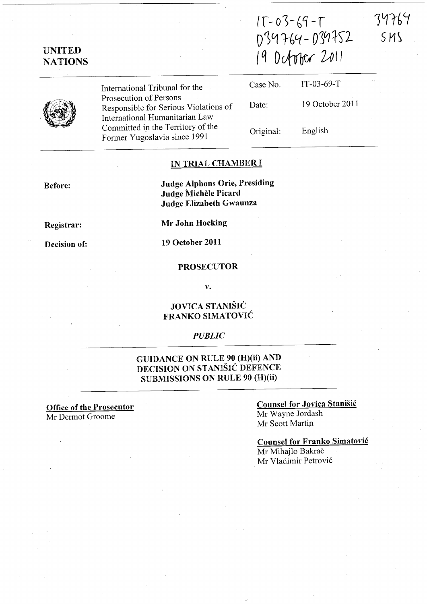34764 SMS

# UNITED **NATIONS**

International Tribunal for the Prosecution of Persons Responsible for Serious Violations of International Humanitarian Law Committed in the Territory of the Former Yugoslavia since 1991

| Case No.  | $IT-03-69-T$    |
|-----------|-----------------|
| Date:     | 19 October 2011 |
| Original: | English         |

034764-039752

19 October 2011

 $15-03-69-7$ 

#### IN TRIAL CHAMBER I

Judge Alphons Orie, Presiding Judge Michele Picard Judge Elizabeth Gwaunza

Registrar:

Before:

Decision of:

Mr John Hocking

19 October 2011

#### PROSECUTOR

v.

# JOVICA STANISIC FRANKO SIMATOVIC

#### *PUBLIC*

# GUIDANCE ON RULE 90 (H)(ii) AND DECISION ON STANISIC DEFENCE SUBMISSIONS ON RULE 90 (H)(ii)

Office of the Prosecutor Mr Dermot Groome

### Counsel for Jovica Stanisic Mr Wayne lordash

Mr Scott Martin

Counsel for Franko Simatovic Mr Mihajlo Bakrač Mr Vladimir Petrovi6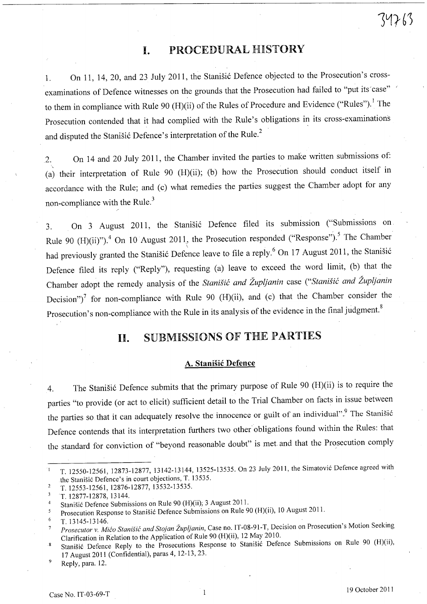# **I.** PROCEDURAL HISTORY

1. On 11, 14, 20, and 23 July 2011, the Stanisic Defence objected to the Prosecution's crossexaminations of Defence witnesses on the grounds that the Prosecution had failed to "put its case" to them in compliance with Rule 90 (H)(ii) of the Rules of Procedure and Evidence ("Rules").<sup>1</sup> The Prosecution contended that it had complied with the Rule's obligations in its cross-examinations and disputed the Stanišić Defence's interpretation of the Rule.<sup>2</sup>

2. On 14 and 20 July 2011, the Chamber invited the parties to make written submissions of: (a) their interpretation of Rule 90 (H)(ii); (b) how the Prosecution should conduct itself in accordance with the Rule; and (c) what remedies the parties suggest the Chamber adopt for any non-compliance with the Rule.<sup>3</sup>

3. On 3 August 2011, the Stanisic Defence filed its submission ("Submissions on Rule 90 (H)(ii)").<sup>4</sup> On 10 August 2011, the Prosecution responded ("Response").<sup>5</sup> The Chamber had previously granted the Stanisić Defence leave to file a reply.<sup>6</sup> On 17 August 2011, the Stanisić Defence filed its reply ("Reply"), requesting (a) leave to exceed the word limit, (b) that the Chamber adopt the remedy analysis of the *Stanisic and Zupljanin* case *("Stanisic and Zupljanin*  Decision")<sup>7</sup> for non-compliance with Rule 90 (H)(ii), and (c) that the Chamber consider the Prosecution's non-compliance with the Rule in its analysis of the evidence in the final judgment.<sup>8</sup>

# **11.** SUBMISSIONS OF THE PARTIES

# A. Stanisic Defence

4. The Stanišić Defence submits that the primary purpose of Rule 90 (H)(ii) is to require the parties "to provide (or act to elicit) sufficient detail to the Trial Chamber on facts in issue between the parties so that it can adequately resolve the innocence or guilt of an individual".<sup>9</sup> The Stanišić Defence contends that its interpretation furthers two other obligations found within the Rules: that the standard for conviction of "beyond reasonable doubt" is met and that the Prosecution comply

/

T. 12550-12561, 12873-12877, 13142-13144, 13525-13535. On 23 July 2011, the Simatovic Defence agreed with  $\mathbf{1}$ the Stanisic Defence's in court objections, T. 13535.

 $\overline{2}$ T. 12553-12561, 12876-12877, 13532-13535.

 $\overline{3}$ T. 12877-12878, 13144.

Stanisic Defence Submissions on Rule 90 (H)(ii); 3 August 2011.  $\overline{4}$ 

Prosecution Response to Stanisic Defence Submissions on Rule 90 (H)(ii), 10 August 2011. 5

 $\epsilon$ T.13145-13146.

*Prosecutor* v. *Mica Stanisic and Stojan Zupljanin,* Case no. IT-08-91-T, Decision on Prosecution's Motion Seeking Clarification in Relation to the Application of Rule 90 (H)(ii), 12 May 2010.

<sup>8</sup>  Stanišić Defence Reply to the Prosecutions Response to Stanišić Defence Submissions on Rule 90 (H)(ii), 17 August 2011 (Confidential), paras 4, 12-13, 23.

<sup>9</sup>  Reply, para. 12.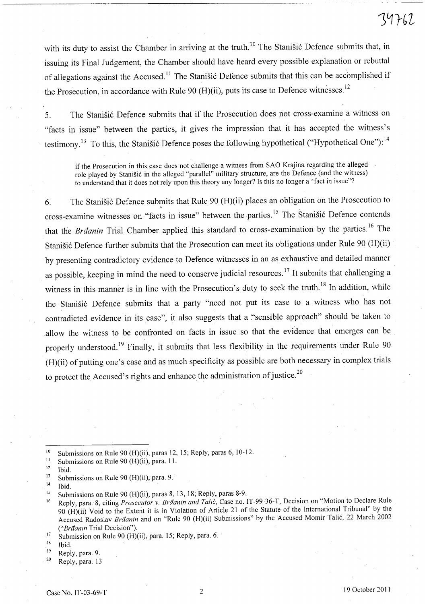# 39762

with its duty to assist the Chamber in arriving at the truth.<sup>10</sup> The Stanišić Defence submits that, in issuing its Final Judgement, the Chamber should have heard every possible explanation or rebuttal of allegations against the Accused.<sup>11</sup> The Stanisic Defence submits that this can be accomplished if the Prosecution, in accordance with Rule 90 (H)(ii), puts its case to Defence witnesses.<sup>12</sup>

5. The Stanišić Defence submits that if the Prosecution does not cross-examine a witness on "facts in issue" between the parties, it gives the impression that it has accepted the witness's testimony.<sup>13</sup> To this, the Stanišić Defence poses the following hypothetical ("Hypothetical One"):<sup>14</sup>

if the Prosecution in this case does not challenge a witness from SAO Krajina regarding the alleged role played by Stanišić in the alleged "parallel" military structure, are the Defence (and the witness) to understand that it does not rely upon this theory any longer? Is this no longer a "fact in issue"?

6. The Stanišić Defence submits that Rule 90 (H)(ii) places an obligation on the Prosecution to cross-examine witnesses on "facts in issue" between the parties.<sup>15</sup> The Stanišić Defence contends that the *Brdanin* Trial Chamber applied this standard to cross-examination by the parties. 16 The Stanišić Defence further submits that the Prosecution can meet its obligations under Rule 90 (H)(ii) by presenting contradictory evidence to Defence witnesses in an as exhaustive and detailed manner as possible, keeping in mind the need to conserve judicial resources. 17 It submits that challenging a witness in this manner is in line with the Prosecution's duty to seek the truth.<sup>18</sup> In addition, while the Stanišić Defence submits that a party "need not put its case to a witness who has not contradicted evidence in its case", it also suggests that a "sensible approach" should be taken to allow the witness to be confronted on facts in issue so that the evidence that emerges can be properly understood.<sup>19</sup> Finally, it submits that less flexibility in the requirements under Rule 90 (H)(ii) of putting one's case and as much specificity as possible are both necessary in complex trials to protect the Accused's rights and enhance the administration of justice. $20$ 

 $12$  Ibid.

 $14$  Ibid.

16 Reply, para. 8, citing *Prosecutor* v. *Braanin and Talic,* Case no. IT-99-36-T, Decision on "Motion to Declare Rule 90 (H)(ii) Void to the Extent it is in Violation of Article 21 of the Statute of the International Tribunal" by the Accused Radoslav *Brđanin* and on "Rule 90 (H)(ii) Submissions" by the Accused Momir Talić, 22 March 2002 *("Braanin* Trial Decision").

19 Reply, para. 9.

 $10$  Submissions on Rule 90 (H)(ii), paras 12, 15; Reply, paras 6, 10-12.

<sup>&</sup>lt;sup>11</sup> Submissions on Rule 90 (H)(ii), para. 11.

<sup>&</sup>lt;sup>13</sup> Submissions on Rule 90 (H)(ii), para. 9.

<sup>&</sup>lt;sup>15</sup> Submissions on Rule 90 (H)(ii), paras 8, 13, 18; Reply, paras 8-9.

<sup>&</sup>lt;sup>17</sup> Submission on Rule 90 (H)(ii), para. 15; Reply, para. 6.

 $18$  Ibid.

<sup>20</sup> Reply, para. 13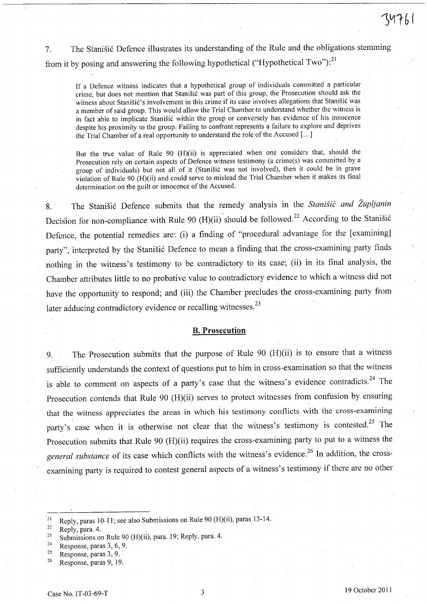7. The Stanišić Defence illustrates its understanding of the Rule and the obligations stemming from it by posing and answering the following hypothetical ("Hypothetical Two"):<sup>21</sup>

If a Defence witness indicates that a hypothetical group of individuals committed a particular crime, but does not mention that Stanišić was part of this group, the Prosecution should ask the witness about Stanišić's involvement in this crime if its case involves allegations that Stanišić was a member of said group. This would allow the Trial Chamber to understand whether the witness is in fact able to implicate Stanišić within the group or conversely has evidence of his innocence despite his proximity to the group. Failing to confront represents a failure to explore and deprives the Trial Chamber of a real opportunity to understand the role of the Accused [ ... ]

But the true value of Rule 90 (H)(ii) is appreciated when one considers that, should the Prosecution rely on certain aspects of Defence witness testimony (a crime(s) was committed by a group of individuals) but not all of it (Stanišić was not involved), then it could be in grave violation of Rule 90 (H)(ii) and could serve to mislead the Trial Chamber when it makes its final determination on the guilt or innocence of the Accused.

8. The Stanišić Defence submits that the remedy analysis in the *Stanišić and Župljanin* Decision for non-compliance with Rule 90 (H)(ii) should be followed.<sup>22</sup> According to the Stanisić Defence, the potential remedies are: (i) a finding of "procedural advantage for the [examining] party", interpreted by the Stanišić Defence to mean a finding that the cross-examining party finds nothing in the witness's testimony to be contradictory to its case; (ii) in its final analysis, the Chamber attributes little to no probative value to contradictory evidence to which a witness did not have the opportunity to respond; and (iii) the Chamber precludes the cross-examining party from later adducing contradictory evidence or recalling witnesses.<sup>23</sup>

### B. **Prosecution**

9. The Prosecution submits that the purpose of Rule 90 (H)(ii) is to ensure that a witness sufficiently understands the context of questions put to him in cross-examination so that the witness is able to comment on aspects of a party's case that the witness's evidence contradicts.<sup>24</sup> The Prosecution contends that Rule 90 (H)(ii) serves to protect witnesses from confusion by ensuring that the witness appreciates the areas in which his testimony conflicts with the cross-examining party's case when it is otherwise not clear that the witness's testimony is contested.<sup>25</sup> The Prosecution submits that Rule 90 (H)(ii) requires the cross-examining party to put to a witness the *general substance* of its case which conflicts with the witness's evidence?6 **In** addition, the crossexamining party is required to contest general aspects of a witness's testimony if there are no other

<sup>&</sup>lt;sup>21</sup> Reply, paras 10-11; see also Submissions on Rule 90 (H)(ii), paras 13-14.

 $22$  Reply, para. 4.

<sup>23</sup> Submissions on Rule 90 (H)(ii), para. 19; Reply, para. 4.

 $24$  Response, paras 3, 6, 9.

<sup>25</sup> Response, paras 3, 9.

<sup>26</sup> Response, paras 9, 19.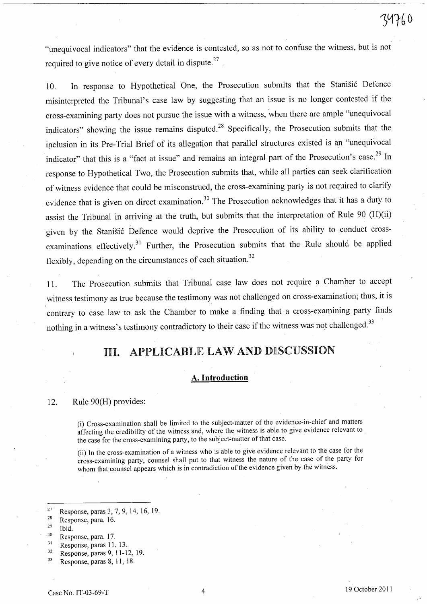... is contacted as as not to confuse the witness but is not "unequivocal indicators" that the evidence is contested, so as not to confuse the witness, but is not required to give notice of every detail in dispute. $27$ .

10. In response to Hypothetical One, the Prosecution submits that the Stanišić Defence misinterpreted the Tribunal's case law by suggesting that an issue is no longer contested if the cross-examining party does not pursue the issue with a witness, when there are ample "unequivocal indicators" showing the issue remains disputed.<sup>28</sup> Specifically, the Prosecution submits that the inclusion in its Pre-Trial Brief of its allegation that parallel structures existed is an "unequivocal indicator" that this is a "fact at issue" and remains an integral part of the Prosecution's case.<sup>29</sup> In response to Hypothetical Two, the Prosecution submits that, while all parties can seek clarification of witness evidence that could be misconstrued, the cross-examining party is not required to clarify evidence that is given on direct examination.<sup>30</sup> The Prosecution acknowledges that it has a duty to assist the Tribunal in arriving at the truth, but submits that the interpretation of Rule 90 (H)(ii) given by the Stanišić Defence would deprive the Prosecution of its ability to conduct crossexaminations effectively.<sup>31</sup> Further, the Prosecution submits that the Rule should be applied flexibly, depending on the circumstances of each situation.<sup>32</sup>

11. The Prosecution submits that Tribunal case law does not require a Chamber to accept witness testimony as true because the testimony was not challenged on cross-examination; thus, it is contrary to case law to ask the Chamber to make a finding that a cross-examining party finds nothing in a witness's testimony contradictory to their case if the witness was not challenged.<sup>33</sup>

# IH. APPLICABLE LAW AND DISCUSSION

#### **A. Introduction**

#### 12. Rule 90(H) provides:

(i) Cross-examination shall be limited to the subject-matter of the evidence-in-chief and matters affecting the credibility of the witness and, where the witness is able to give evidence relevant to the case for the cross-examining party, to the subject-matter of that case.

(ii) In the cross-examination of a witness who is able to give evidence relevant to the case for the cross-examining party, counsel shall put to that witness the nature of the case of the party for whom that counsel appears which is in contradiction of the evidence given by the witness.

- . 30 Response, para. 17.
- 31 Response, paras 11, 13.

<sup>&</sup>lt;sup>27</sup> Response, paras 3, 7, 9, 14, 16, 19.

<sup>28</sup> Response, para. 16.

 $29$  Ibid.

<sup>32</sup> Response, paras 9, 11-12, 19.

<sup>33</sup> Response, paras 8, 11, 18.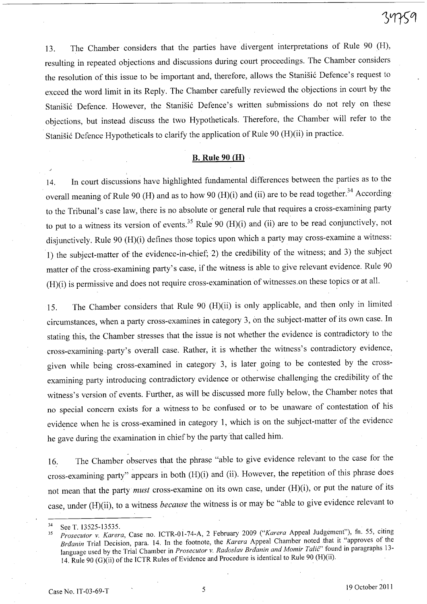13. The Chamber considers that the parties have divergent interpretations of Rule 90 (H), resulting in repeated objections and discussions during court proceedings. The Chamber considers the resolution of this issue to be important and, therefore, allows the Stanišić Defence's request to exceed the word limit in its Reply. The Chamber carefully reviewed the objections in court by the Stanišić Defence. However, the Stanišić Defence's written submissions do not rely on these objections, but instead discuss the two Hypotheticals. Therefore, the Chamber will refer to the Stanišić Defence Hypotheticals to clarify the application of Rule 90 (H)(ii) in practice.

#### B. **Rule 90 (H)**

14. **In** court discussions have highlighted fundamental differences between the parties as to the overall meaning of Rule 90 (H) and as to how 90 (H)(i) and (ii) are to be read together.<sup>34</sup> According to the Tribunal's case law, there is no absolute or general rule that requires a cross-examining party to put to a witness its version of events.<sup>35</sup> Rule 90 (H)(i) and (ii) are to be read conjunctively, not disjunctively. Rule 90 (H)(i) defines those topics upon which a party may cross-examine a witness: 1) the subject-matter of the evidence-in-chief; 2) the credibility of the witness; and 3) the subject matter of the cross-examining party's case, if the witness is able to give relevant evidence. Rule 90 (H)(i) is permissive and does not require cross-examination of witnesses,on these topics or at all.

15. The Chamber considers that Rule 90 (H)(ii) is only applicable, and then only in limited circumstances, when a party cross-examines in category 3, on the subject-matter of its own case. **In**  stating this, the Chamber stresses that the issue is not whether the evidence is contradictory to the cross-examining,party's overall case. Rather, it is whether the witness's contradictory evidence, given while being cross-examined in category 3, is later going to be contested by the crossexamining party introducing contradictory evidence or otherwise challenging the credibility of the witness's version of events. Further, as will be discussed more fully below, the Chamber notes that no special concern exists for a witness to be confused or to be unaware of contestation of his evidence when he is cross-examined in category 1, which is on the subject-matter of the evidence he gave during the examination in chief by the party'that called him.

16. The Chamber observes that the phrase "able to give evidence relevant to the case for the cross-examining party" appears in both (H)(i) and (ii). However, the repetition of this phrase does not mean that the party *must* cross-examine on its own case, under (H)(i), or put the nature of its case, under (H)(ii), to a witness *because* the witness is or may be "able to give evidence relevant to

.)

<sup>34</sup> See T. 13525-13535.

*<sup>35</sup> Prosecutor* v. *Karera,* Case no. ICTR-01-74-A, 2 February 2009 *("Karera* Appeal Judgement"), fn. 55, citing *Braanin* Trial Decision, para. 14. In the footnote, the *Karera* Appeal Chamber noted that it "approves of the language used by the Trial Chamber in *Prosecutor v. Radoslav Braanin and Momir Talić*" found in paragraphs 13-14. Rule 90 (G)(ii) of the ICTR Rules of Evidence and Procedure is identical to Rule 90 (H)(ii).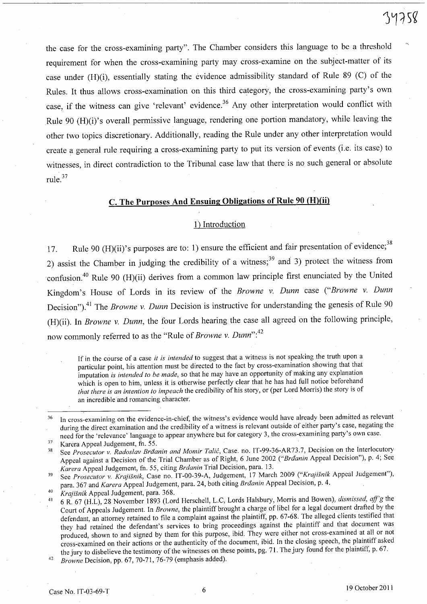the case for the cross-examining party". The Chamber considers this language to be a threshold requirement for when the cross-examining party may cross-examine on the subject-matter of its case under (H)(i), essentially stating the evidence admissibility standard of Rule 89 (C) of the Rules. It thus allows cross-examination on this third category, the cross-examining party's own case, if the witness can give 'relevant' evidence.<sup>36</sup> Any other interpretation would conflict with Rule 90 (H)(i)'s overall permissive language, rendering one portion mandatory, while leaving the other two topics discretionary. Additionally, reading the Rule under any other interpretation would create a general rule requiring a cross-examining party to put its version of events (i.e. its case) to witnesses, in direct contradiction to the Tribunal case law that there is no such general or absolute rule. <sup>37</sup>

# c. The Purposes And Ensuing Obligations of Rule 90 (H)(ii)

#### 1) Introduction

17. Rule 90 (H)(ii)'s purposes are to: 1) ensure the efficient and fair presentation of evidence;<sup>38</sup> 2) assist the Chamber in judging the credibility of a witness;<sup>39</sup> and 3) protect the witness from confusion.<sup>40</sup> Rule 90 (H)(ii) derives from a common law principle first enunciated by the United Kingdom's House of Lords in its review of the *Browne* v. *Dunn* case *("Browne* v. *Dunn*  Decision").<sup>41</sup> The *Browne v. Dunn* Decision is instructive for understanding the genesis of Rule 90 (H)(ii). In *Browne* v. *Dunn,* the four Lords hearing the case all agreed on the following principle, now commonly referred to as the "Rule of *Browne v. Dunn*":<sup>42</sup>

If in the course of a case *it is intended* to suggest that a witness is not speaking the truth upon a particular point, his attention must be directed to the fact by cross-examination showing that that imputation *is intended to be made,* so that he may have an opportunity of making any explanation which is open to him, unless it is otherwise perfectly clear that he has had full notice beforehand *that there is an intention to impeach* the credibility of his story, or (per Lord Morris) the story is of an incredible and romancing character.

39 See *Prosecutor* v. *Krajisnik,* Case no. IT-00-39-A, Judgement, 17 March 2009 *("Krajisnik* Appeal Judgement"), para. 367 and *Karera* Appeal Judgement, para. 24, both citing *Braanin* Appeal Decision, p. 4.

<sup>36</sup> In cross-examining on the evidence-in-chief, the witness's evidence would have already been admitted as relevant during the direct examination and the credibility of a witness is relevant outside of either party's case, negating the need for the 'relevance' language to appear anywhere but for category 3, the cross-examining party's own case.

<sup>37</sup>  Karera Appeal Judgement, fn. 55.

<sup>38</sup>  See *Prosecutor v. Radoslav Brāanin and Momir Talić*, Case. no. IT-99-36-AR73.7, Decision on the Interlocutory Appeal against a Decision of the Trial Chamber as of Right, 6 June 2002 *("Braanin* Appeal Decision"), p. 4; See *Karera* Appeal Judgement, fn. 55, citing *Brdanin* Trial Decision, para. 13.

*<sup>40</sup> Krajisnik* Appeal Judgement, para. 368.

<sup>41</sup>6 R. 67 (H.L), 28 November 1893 (Lord Herschell, L.C, Lords Halsbury, Morris and Bowen), *dismissed, aff'g* the *Court* of Appeals Judgement. In *Browne,* the plaintiff brought a charge of libel for a legal document drafted by the defendant, an attorney retained to file a complaint against the plaintiff, pp. 67-68. The alleged clients testified that they had retained the defendant's services to bring proceedings against the plaintiff and that document was produced, shown to and signed by them for this purpose, ibid. They were either not cross-examined at all or not cross-examined on their actions or the authenticity of the document, ibid. In the closing speech, the plaintiff asked the jury to disbelieve the testimony of the witnesses on these points, pg. 71. The jury found for the plaintiff, p. 67.

*<sup>42</sup> Browne Decision, pp. 67, 70-71, 76-79 (emphasis added).*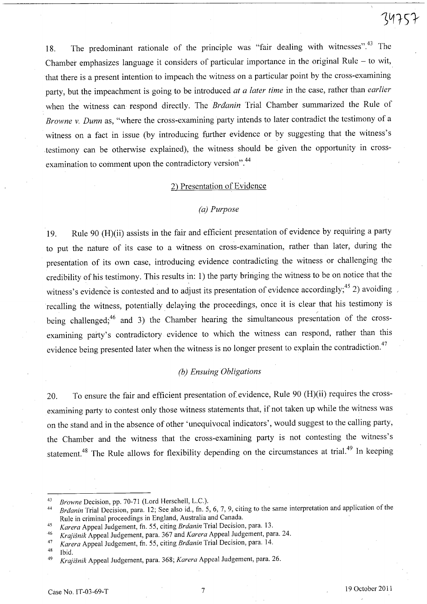34757

18. The predominant rationale of the principle was "fair dealing with witnesses".<sup>43</sup> The Chamber emphasizes language it considers of particular importance in the original Rule - to wit, that there is a present intention to impeach the witness on a particular point by the cross-examining party, but the impeachment is going to be introduced *at a later time* in the case, rather than *earlier*  when the witness can respond directly. The *Braanin* Trial Chamber summarized the Rule of *Browne* v. *Dunn* as, "where the cross-examining party intends to later contradict the testimony of a witness on a fact in issue (by introducing further evidence or by suggesting that the witness's testimony can be otherwise explained), the witness should be given the opportunity in crossexamination to comment upon the contradictory version".<sup>44</sup>

#### 2) Presentation of Evidence

#### *(a) Purpose*

19. Rule 90 (H)(ii) assists in the fair and efficient presentation of evidence by requiring a party to put the nature of its case to a witness on cross-examination, rather than later, during the presentation of its own case, introducing evidence contradicting the witness or challenging the credibility of his testimony. This results in: 1) the party bringing the witness to be on notice that the witness's evidence is contested and to adjust its presentation of evidence accordingly;<sup>45</sup> 2) avoiding recalling the witness, potentially delaying the proceedings, once it is clear that his testimony is being challenged;<sup>46</sup> and 3) the Chamber hearing the simultaneous presentation of the crossexamining party's contradictory evidence to which the witness can respond, rather than this evidence being presented later when the witness is no longer present to explain the contradiction.<sup>47</sup>

# *(b) Ensuing Obligations*

20. To ensure the fair and efficient presentation of evidence, Rule 90 (H)(ii) requires the crossexamining party to contest only those witness statements that, if not taken up while the witness was on the stand and in the absence of other 'unequivocal indicators', would suggest to the calling party, the Chamber and the witness that the cross-examining party is not contesting the witness's statement.<sup>48</sup> The Rule allows for flexibility depending on the circumstances at trial.<sup>49</sup> In keeping

*<sup>43</sup> Browne* Decision, pp. 70-71 (Lord Herschell, L.C.).

*<sup>44</sup> Braanin* Trial Decision, para. 12; Seealso id., fn. 5, 6, 7, 9, citing to the same interpretation and application of the Rule in criminal proceedings in England, Australia and Canada.

*<sup>45</sup> Karera* Appeal Judgement, fn. 55, citing *Brdanin* Trial Decision, para. 13.

*<sup>46</sup> Krajisnik* Appeal Judgement, para. 367 and *Karera* Appeal Judgement, para. 24.

*<sup>47</sup> Karera* Appeal Judgement, fn. 55, citing *Braanin* Trial Decision, para. 14.

 $48$  Ibid.  $11$  C

*<sup>49</sup> Krajisnik* Appeal Judgement, para. 368; *Karera* Appeal Judgement, para. 26.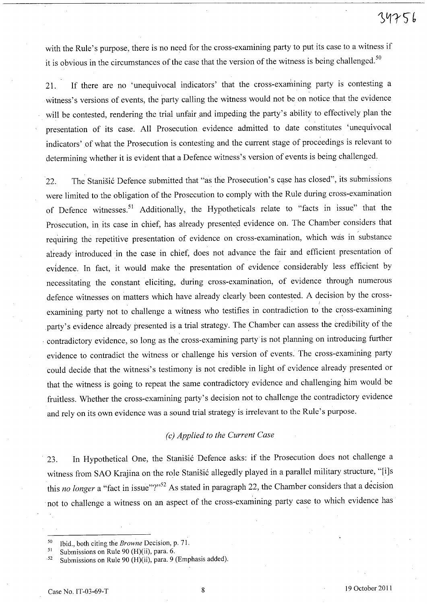with the Rule's purpose, there is no need for the cross-examining party to put its case to a witness if it is obvious in the circumstances of the case that the version of the witness is being challenged.<sup>50</sup>

21. If there are no 'unequivocal indicators' that the cross-examining party is contesting a witness's versions of events, the party calling the witness would not be on notice that the evidence will be contested, rendering the trial unfair and impeding the party's ability to effectively plan the presentation of its case. All Prosecution evidence admitted to date constitutes 'unequivocal indicators' of what the Prosecution is contesting and the current stage of proceedings is relevant to determining whether it is evident that a Defence witness's version of events is being challenged.

22. The Stanišić Defence submitted that "as the Prosecution's case has closed", its submissions were limited to the obligation of the Prosecution to comply with the Rule during cross-examination of Defence witnesses.<sup>51</sup> Additionally, the Hypotheticals relate to "facts in issue" that the Prosecution, in its case in chief, has already presented evidence on. The Chamber considers that requiring the repetitive presentation of evidence on cross-examination, which was in 'substance already introduced in the case in chief, does not advance the fair and efficient presentation of evidence. In fact, it would make the presentation of evidence considerably less efficient by necessitating the constant eliciting, during cross-examination, of evidence through numerous defence witnesses on matters which have already clearly been contested. A decision by the cross examining party not to challenge a witness who testifies in contradiction to the cross-examining party's evidence already presented is a trial strategy. The Chamber can assess the credibility of the . contradictory evidence, so long as the cross-examining party is not planning on introducing further evidence to contradict the witness or challenge his version of events. The cross-examining party could decide that the witness's testimony is not credible in light of evidence already presented or that the witness is going to repeat the same contradictory evidence and challenging him would be fruitless. Whether the cross-examining party's decision not to challenge the contradictory evidence and rely on its own evidence was a sound trial strategy is irrelevant to the Rule's purpose.

#### *(e) Applied to the Current Case*

23. In Hypothetical One, the Stanišić Defence asks: if the Prosecution does not challenge a witness from SAO Krajina on the role Stanišić allegedly played in a parallel military structure, "[i]s this *no longer* a "fact in issue"?"<sup>52</sup> As stated in paragraph 22, the Chamber considers that a decision . not to challenge a witness on an aspect of the cross-examining party case to which evidence has

<sup>50</sup> Ibid., both citing the *Browne* Decision, p. 7 I.

<sup>&</sup>lt;sup>51</sup> Submissions on Rule 90 (H)(ii), para. 6.

<sup>52</sup> Submissions on Rule 90 (H)(ii), para. 9 (Emphasis added).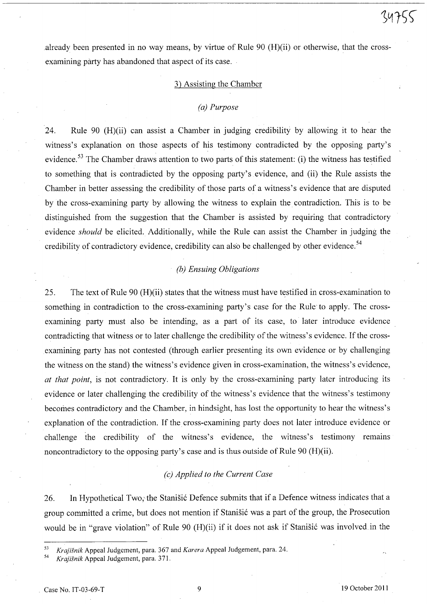.already been presented in no way means, by virtue of Rule 90 (H)(ii) or otherwise, that the crossexamining party has abandoned that aspect of its case.

#### 3) Assisting the Chamber

#### *(a) Purpose*

24. Rule 90 (H)(ii) can assist a Chamber in judging credibility by allowing it to hear the witness's explanation on those aspects of his testimony contradicted by the opposing party's evidence.<sup>53</sup> The Chamber draws attention to two parts of this statement: (i) the witness has testified to something that is contradicted by the opposing party's evidence, and (ii) the Rule assists the Chamber in better assessing the credibility of those parts of a witness's evidence that are disputed by the cross-examining party by allowing the witness to explain the contradiction. This is to be distinguished from the suggestion that the Chamber is assisted by requiring that contradictory evidence *should* be elicited. Additionally, while the Rule can assist the Chamber in judging the credibility of contradictory evidence, credibility can also be challenged by other evidence.<sup>54</sup>

## *(b) Ensuing Obligations*

25. The text of Rule 90 (H)(ii) states that the witness must have testified in cross-examination to something in contradiction to the cross-examining party's case for the Rule'to apply. The crossexamining party must also be intending, as a part of its case, to later introduce evidence contradicting that witness or to later challenge the credibility of the witness's evidence. If the crossexamining party has not contested (through earlier presenting its own evidence or by challenging the witness on the stand) the witness's evidence given in cross-examination, the witness's evidence, *at that point,* is not contradictory. It is only by the cross-examining party later introducing its evidence or later challenging the credibility of the witness's evidence that the witness's testimony becomes contradictory and the Chamber, in hindsight, has lost the opportunity to hear the witness's explanation of the contradiction. If the cross-examining party does not later introduce evidence or challenge the credibility of the witness's evidence, the witness's testimony remams noncontradictory to the opposing party's case and is thus outside of Rule 90 (H)(ii).

## *(e) Applied to the Current Case*

26. In Hypothetical Two, the Stanisic Defence submits that if a Defence witness indicates that a group committed a crime, but does not mention if Stanisić was a part of the group, the Prosecution would be in "grave violation" of Rule  $90$  (H)(ii) if it does not ask if Stanisic was involved in the

*<sup>53</sup> Krajisnik* Appeal Judgement, para. 367 and *Karera* Appeal Judgement, para. 24.

*<sup>54</sup> Krajisnik* Appeal Judgement, para. 37l.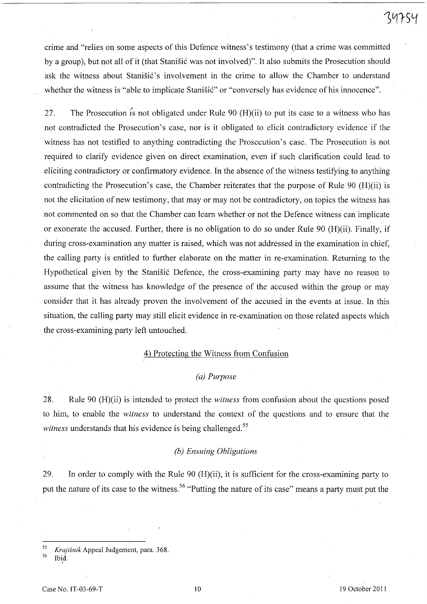crime and "relies on some aspects of this Defence witness's testimony (that a crime was committed by a group), but not all of it (that Stanisic was not involved)". It also submits the Prosecution should ask the witness about Stanišić's involvement in the crime to allow the Chamber to understand whether the witness is "able to implicate Stanišić" or "conversely has evidence of his innocence".

27. The Prosecution is not obligated under Rule 90 (H)(ii) to put its case to a witness who has not contradicted the Prosecution's case, nor is it obligated to elicit contradictory evidence if the witness has not testified to anything contradicting the Prosecution's case. The Prosecution is not required to clarify evidence given on direct examination, even if such clarification could lead to eliciting contradictory or confirmatory evidence. In the absence of the witness testifying to anything contradicting the Prosecution's case, the Chamber reiterates that the purpose of Rule 90 (H)(ii) is not the elicitation of new testimony, that may or may not be contradictory, on topics the witness has not commented on so that the Chamber can learn whether or not the Defence witness can implicate or exonerate the accused. Further, there is no obligation to do so under Rule 90 (H)(ii). Finally, if during cross-examination any matter is raised, which was not addressed in the examination in chief, the calling party is entitled to further elaborate on the matter in re-examination. Returning to the Hypothetical given by the Stanišić Defence, the cross-examining party may have no reason to assume that the witness has knowledge of the presence of the accused within the group or may consider that it has already proven the involvement of the accused in the events at issue. In this situation, the calling party may still elicit evidence in re-examination on those related aspects which the cross-examining party left untouched.

## 4) Protecting the Witness from Confusion

#### *(a) Purpose*

28. Rule 90 (H)(ii) is intended to protect the *witness* from confusion about the questions posed to him, to enable the *witness* to understand the context of the questions and to ensure that the *witness* understands that his evidence is being challenged.<sup>55</sup>

#### *(b) Ensuing Obligations*

29. In order to comply with the Rule 90 (H)(ii), it is sufficient for the cross-examining party to put the nature of its case to the witness.<sup>56</sup> "Putting the nature of its case" means a party must put the

*<sup>55</sup> Krajisnik* Appeal Judgement, para. 368.

Ibid.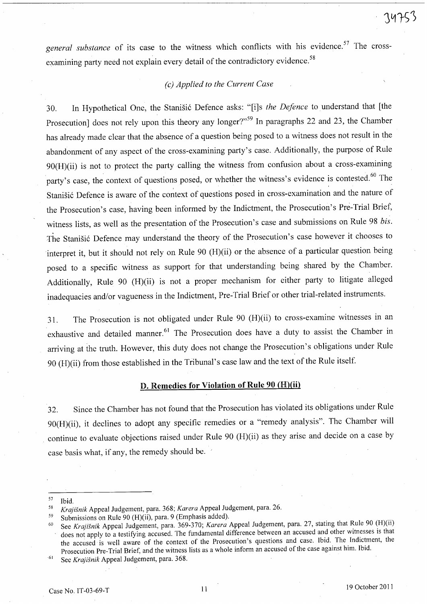general substance of its case to the witness which conflicts with his evidence.<sup>57</sup> The crossexamining party need not explain every detail of the contradictory evidence.<sup>58</sup>

## *(c) Applied to the Current Case*

30. In Hypothetical One, the Stanisi6 Defence asks: "[i]s *the Defence* to understand that [the Prosecution] does not rely upon this theory any longer?"<sup>59</sup> In paragraphs 22 and 23, the Chamber has already made clear that the absence of a question being posed to a witness does not result in the abandonment of any aspect of the cross-examining party's case. Additionally, the purpose of Rule 90(H)(ii) is not to protect the party calling the witness from confusion about a cross-examining party's case, the context of questions posed, or whether the witness's evidence is contested.<sup>60</sup> The Stanišić Defence is aware of the context of questions posed in cross-examination and the nature of the Prosecution's case, having been informed by the Indictment, the Prosecution's Pre-Trial Brief, witness lists, as well as the presentation of the Prosecution's case and submissions on Rule 98 *bis.*  The Stanišić Defence may understand the theory of the Prosecution's case however it chooses to interpret it, but it should not rely on Rule 90 (H)(ii) or the absence of a particular question being posed to a specific witness as support for that understanding being shared by the Chamber. Additionally, Rule 90 (H)(ii) is not a proper mechanism for either party to litigate alleged inadequacies and/or vagueness in the Indictment, Pre-Trial Brief or other trial-related instruments.

31. The Prosecution is not obligated under Rule 90 (H)(ii) to cross-examine witnesses in an exhaustive and detailed manner.<sup>61</sup> The Prosecution does have a duty to assist the Chamber in arriving at the truth. However, this duty does not change the Prosecution's obligations under Rule 90 (H)(ii) from those established in the Tribunal's case law and the text of the Rule itself.

#### D. Remedies for **Violation** of Rule 90 (H)(ii)

32. Since the Chamber has not found that the Prosecution has violated its obligations under Rule 90(H)(ii), it declines to adopt any specific remedies or a "remedy analysis". The Chamber will continue to evaluate objections raised under Rule 90 (H)(ii) as they arise and decide on a case by case basis what, if any, the remedy should be. '

<sup>57</sup> Ibid.

*<sup>58</sup> Krajisnik* Appeal Judgement, para. 368; *Karera* Appeal Judgement, para. 26.

<sup>59</sup> Submissions on Rule 90 (H)(ii), para. 9 (Emphasis added).

<sup>60</sup> See *Krajisnik* Appeal Judgement, para. 369-370; *Karera* Appeal Judgement, para. 27, stating that Rule 90 (H)(ii) does not apply to a testifying accused. The fundamental difference between an accused and other witnesses is that the accused is well aware of the context of the Prosecution's questions and case. Ibid. The Indictment, the Prosecution Pre-Trial Brief, and the witness lists as a whole inform an accused of the case against him. Ibid.

<sup>61</sup> See *Krajisnik* Appeal Judgement, para. 368.